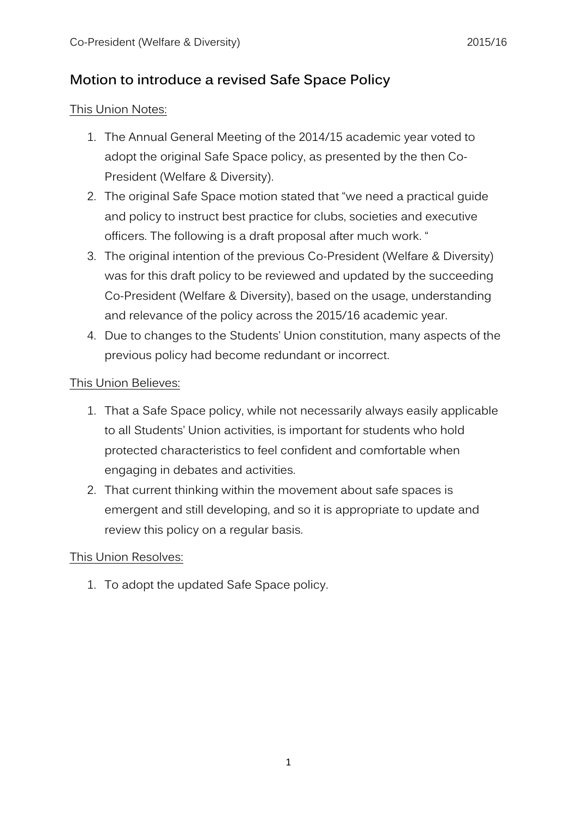# **Motion to introduce a revised Safe Space Policy**

#### This Union Notes:

- 1. The Annual General Meeting of the 2014/15 academic year voted to adopt the original Safe Space policy, as presented by the then Co-President (Welfare & Diversity).
- 2. The original Safe Space motion stated that "we need a practical guide and policy to instruct best practice for clubs, societies and executive officers. The following is a draft proposal after much work. "
- 3. The original intention of the previous Co-President (Welfare & Diversity) was for this draft policy to be reviewed and updated by the succeeding Co-President (Welfare & Diversity), based on the usage, understanding and relevance of the policy across the 2015/16 academic year.
- 4. Due to changes to the Students' Union constitution, many aspects of the previous policy had become redundant or incorrect.

### This Union Believes:

- 1. That a Safe Space policy, while not necessarily always easily applicable to all Students' Union activities, is important for students who hold protected characteristics to feel confident and comfortable when engaging in debates and activities.
- 2. That current thinking within the movement about safe spaces is emergent and still developing, and so it is appropriate to update and review this policy on a regular basis.

# This Union Resolves:

1. To adopt the updated Safe Space policy.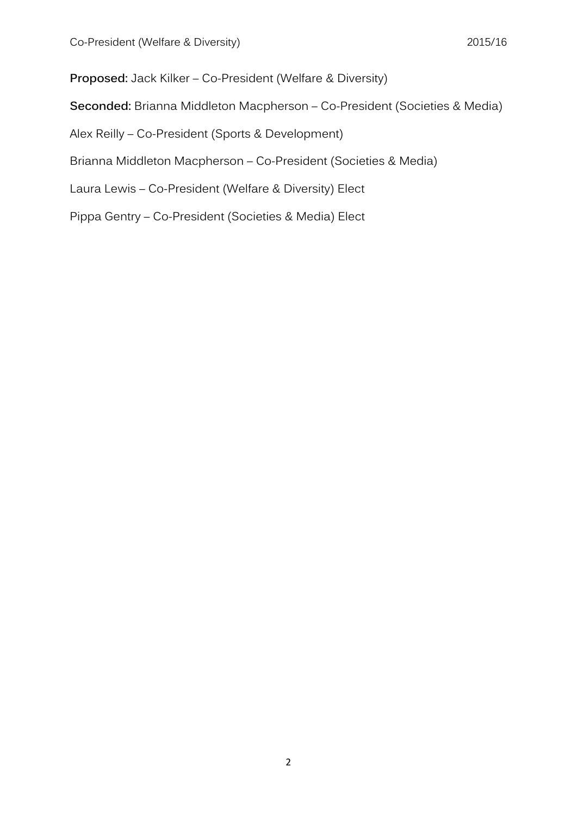**Proposed:** Jack Kilker – Co-President (Welfare & Diversity)

**Seconded:** Brianna Middleton Macpherson – Co-President (Societies & Media)

Alex Reilly – Co-President (Sports & Development)

Brianna Middleton Macpherson – Co-President (Societies & Media)

Laura Lewis – Co-President (Welfare & Diversity) Elect

Pippa Gentry – Co-President (Societies & Media) Elect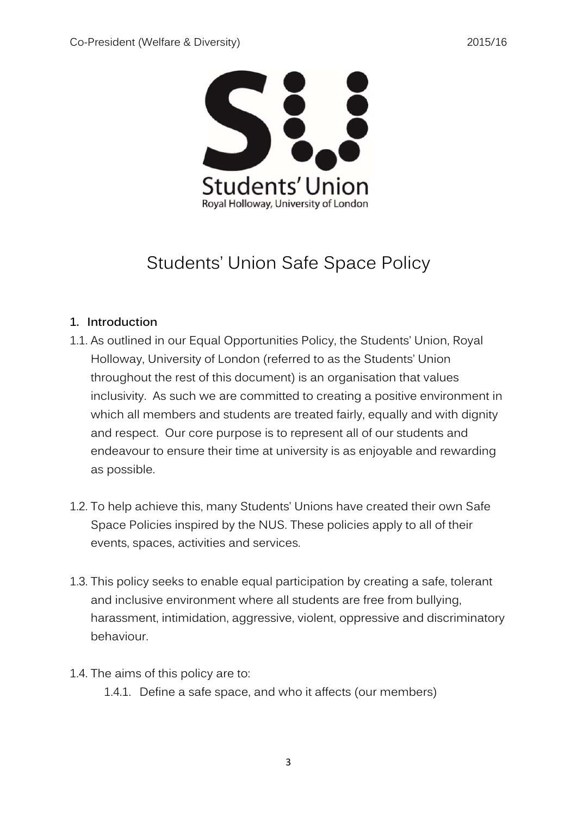

# Students' Union Safe Space Policy

# **1. Introduction**

- 1.1. As outlined in our Equal Opportunities Policy, the Students' Union, Royal Holloway, University of London (referred to as the Students' Union throughout the rest of this document) is an organisation that values inclusivity. As such we are committed to creating a positive environment in which all members and students are treated fairly, equally and with dignity and respect. Our core purpose is to represent all of our students and endeavour to ensure their time at university is as enjoyable and rewarding as possible.
- 1.2. To help achieve this, many Students' Unions have created their own Safe Space Policies inspired by the NUS. These policies apply to all of their events, spaces, activities and services.
- 1.3. This policy seeks to enable equal participation by creating a safe, tolerant and inclusive environment where all students are free from bullying, harassment, intimidation, aggressive, violent, oppressive and discriminatory behaviour.
- 1.4. The aims of this policy are to:
	- 1.4.1. Define a safe space, and who it affects (our members)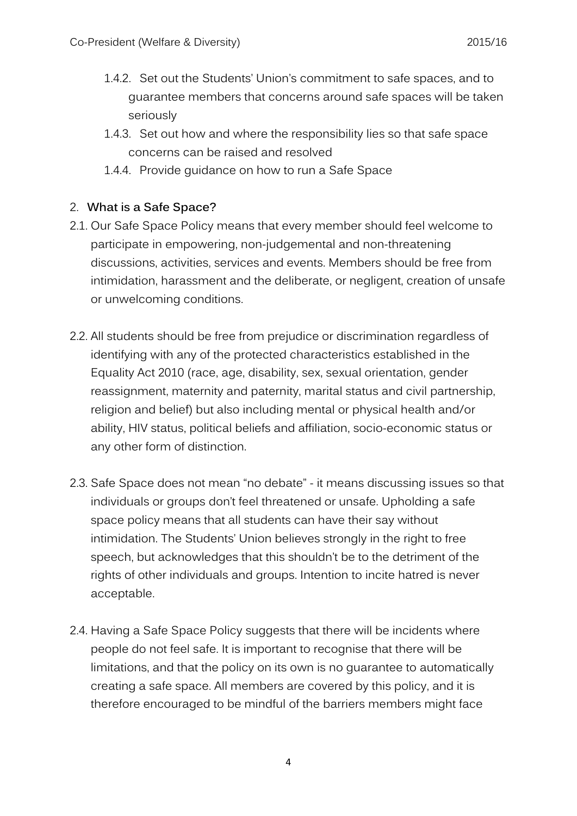- 1.4.2. Set out the Students' Union's commitment to safe spaces, and to guarantee members that concerns around safe spaces will be taken seriously
- 1.4.3. Set out how and where the responsibility lies so that safe space concerns can be raised and resolved
- 1.4.4. Provide guidance on how to run a Safe Space

# 2. **What is a Safe Space?**

- 2.1. Our Safe Space Policy means that every member should feel welcome to participate in empowering, non-judgemental and non-threatening discussions, activities, services and events. Members should be free from intimidation, harassment and the deliberate, or negligent, creation of unsafe or unwelcoming conditions.
- 2.2. All students should be free from prejudice or discrimination regardless of identifying with any of the protected characteristics established in the Equality Act 2010 (race, age, disability, sex, sexual orientation, gender reassignment, maternity and paternity, marital status and civil partnership, religion and belief) but also including mental or physical health and/or ability, HIV status, political beliefs and affiliation, socio-economic status or any other form of distinction.
- 2.3. Safe Space does not mean "no debate" it means discussing issues so that individuals or groups don't feel threatened or unsafe. Upholding a safe space policy means that all students can have their say without intimidation. The Students' Union believes strongly in the right to free speech, but acknowledges that this shouldn't be to the detriment of the rights of other individuals and groups. Intention to incite hatred is never acceptable.
- 2.4. Having a Safe Space Policy suggests that there will be incidents where people do not feel safe. It is important to recognise that there will be limitations, and that the policy on its own is no guarantee to automatically creating a safe space. All members are covered by this policy, and it is therefore encouraged to be mindful of the barriers members might face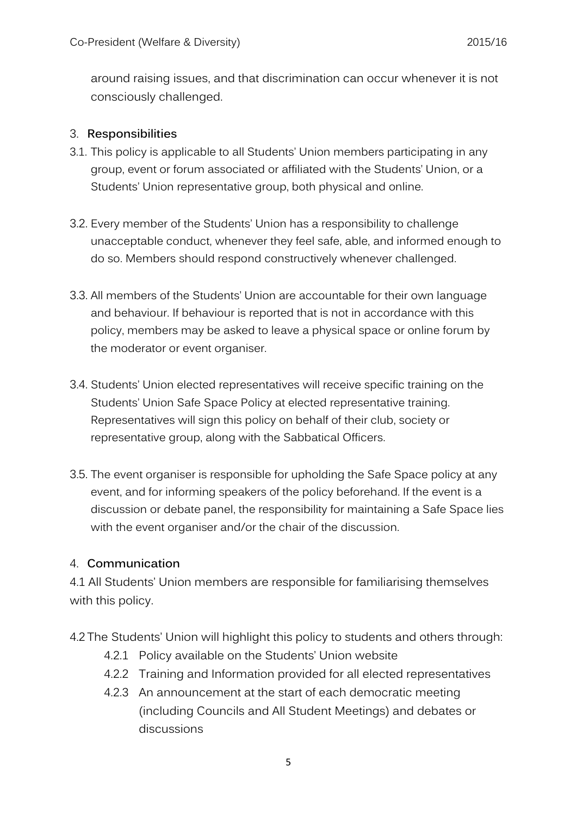around raising issues, and that discrimination can occur whenever it is not consciously challenged.

#### 3. **Responsibilities**

- 3.1. This policy is applicable to all Students' Union members participating in any group, event or forum associated or affiliated with the Students' Union, or a Students' Union representative group, both physical and online.
- 3.2. Every member of the Students' Union has a responsibility to challenge unacceptable conduct, whenever they feel safe, able, and informed enough to do so. Members should respond constructively whenever challenged.
- 3.3. All members of the Students' Union are accountable for their own language and behaviour. If behaviour is reported that is not in accordance with this policy, members may be asked to leave a physical space or online forum by the moderator or event organiser.
- 3.4. Students' Union elected representatives will receive specific training on the Students' Union Safe Space Policy at elected representative training. Representatives will sign this policy on behalf of their club, society or representative group, along with the Sabbatical Officers.
- 3.5. The event organiser is responsible for upholding the Safe Space policy at any event, and for informing speakers of the policy beforehand. If the event is a discussion or debate panel, the responsibility for maintaining a Safe Space lies with the event organiser and/or the chair of the discussion.

#### 4. **Communication**

4.1 All Students' Union members are responsible for familiarising themselves with this policy.

- 4.2 The Students' Union will highlight this policy to students and others through:
	- 4.2.1 Policy available on the Students' Union website
	- 4.2.2 Training and Information provided for all elected representatives
	- 4.2.3 An announcement at the start of each democratic meeting (including Councils and All Student Meetings) and debates or discussions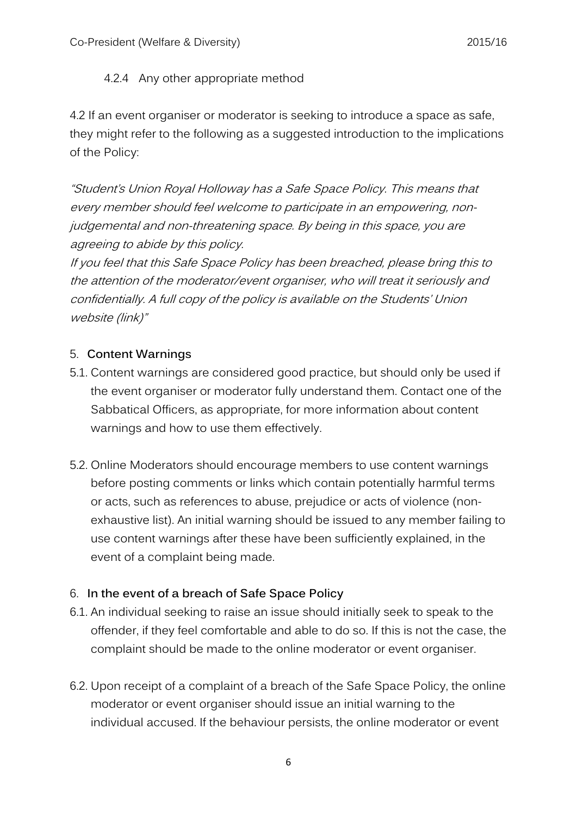### 4.2.4 Any other appropriate method

4.2 If an event organiser or moderator is seeking to introduce a space as safe, they might refer to the following as a suggested introduction to the implications of the Policy:

"Student's Union Royal Holloway has a Safe Space Policy. This means that every member should feel welcome to participate in an empowering, nonjudgemental and non-threatening space. By being in this space, you are agreeing to abide by this policy.

If you feel that this Safe Space Policy has been breached, please bring this to the attention of the moderator/event organiser, who will treat it seriously and confidentially. A full copy of the policy is available on the Students' Union website (link)"

### 5. **Content Warnings**

- 5.1. Content warnings are considered good practice, but should only be used if the event organiser or moderator fully understand them. Contact one of the Sabbatical Officers, as appropriate, for more information about content warnings and how to use them effectively.
- 5.2. Online Moderators should encourage members to use content warnings before posting comments or links which contain potentially harmful terms or acts, such as references to abuse, prejudice or acts of violence (nonexhaustive list). An initial warning should be issued to any member failing to use content warnings after these have been sufficiently explained, in the event of a complaint being made.

# 6. **In the event of a breach of Safe Space Policy**

- 6.1. An individual seeking to raise an issue should initially seek to speak to the offender, if they feel comfortable and able to do so. If this is not the case, the complaint should be made to the online moderator or event organiser.
- 6.2. Upon receipt of a complaint of a breach of the Safe Space Policy, the online moderator or event organiser should issue an initial warning to the individual accused. If the behaviour persists, the online moderator or event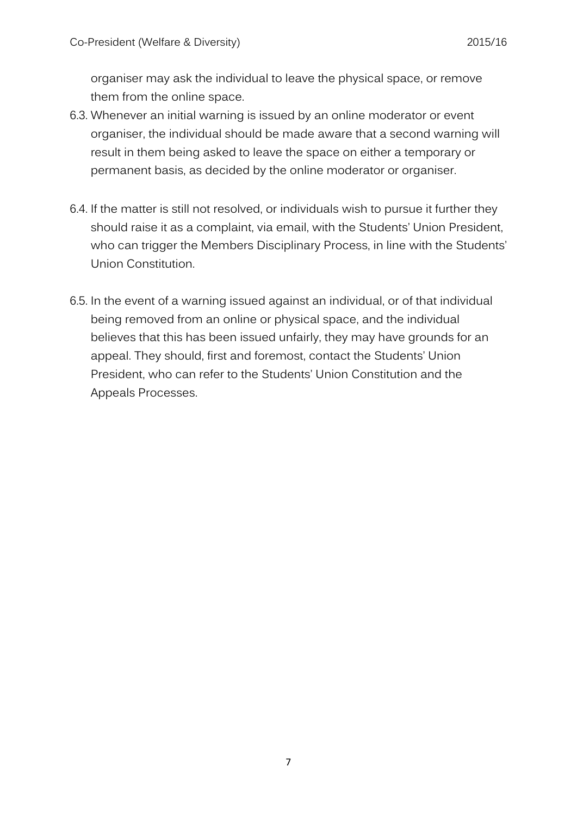organiser may ask the individual to leave the physical space, or remove them from the online space.

- 6.3. Whenever an initial warning is issued by an online moderator or event organiser, the individual should be made aware that a second warning will result in them being asked to leave the space on either a temporary or permanent basis, as decided by the online moderator or organiser.
- 6.4. If the matter is still not resolved, or individuals wish to pursue it further they should raise it as a complaint, via email, with the Students' Union President, who can trigger the Members Disciplinary Process, in line with the Students' Union Constitution.
- 6.5. In the event of a warning issued against an individual, or of that individual being removed from an online or physical space, and the individual believes that this has been issued unfairly, they may have grounds for an appeal. They should, first and foremost, contact the Students' Union President, who can refer to the Students' Union Constitution and the Appeals Processes.